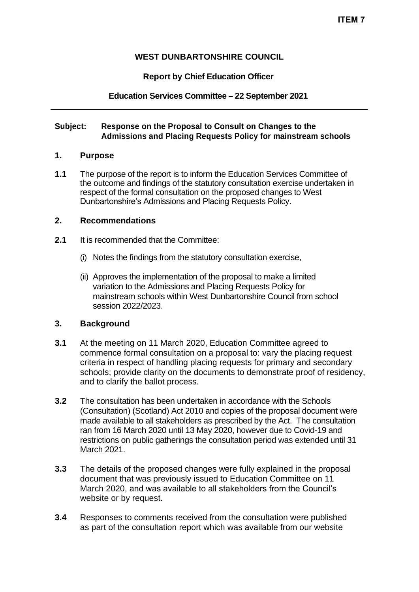## **WEST DUNBARTONSHIRE COUNCIL**

### **Report by Chief Education Officer**

### **Education Services Committee – 22 September 2021**

#### **Subject: Response on the Proposal to Consult on Changes to the Admissions and Placing Requests Policy for mainstream schools**

#### **1. Purpose**

**1.1** The purpose of the report is to inform the Education Services Committee of the outcome and findings of the statutory consultation exercise undertaken in respect of the formal consultation on the proposed changes to West Dunbartonshire's Admissions and Placing Requests Policy.

#### **2. Recommendations**

- **2.1** It is recommended that the Committee:
	- (i) Notes the findings from the statutory consultation exercise,
	- (ii) Approves the implementation of the proposal to make a limited variation to the Admissions and Placing Requests Policy for mainstream schools within West Dunbartonshire Council from school session 2022/2023.

## **3. Background**

- **3.1** At the meeting on 11 March 2020, Education Committee agreed to commence formal consultation on a proposal to: vary the placing request criteria in respect of handling placing requests for primary and secondary schools; provide clarity on the documents to demonstrate proof of residency, and to clarify the ballot process.
- **3.2** The consultation has been undertaken in accordance with the Schools (Consultation) (Scotland) Act 2010 and copies of the proposal document were made available to all stakeholders as prescribed by the Act. The consultation ran from 16 March 2020 until 13 May 2020, however due to Covid-19 and restrictions on public gatherings the consultation period was extended until 31 March 2021.
- **3.3** The details of the proposed changes were fully explained in the proposal document that was previously issued to Education Committee on 11 March 2020, and was available to all stakeholders from the Council's website or by request.
- **3.4** Responses to comments received from the consultation were published as part of the consultation report which was available from our website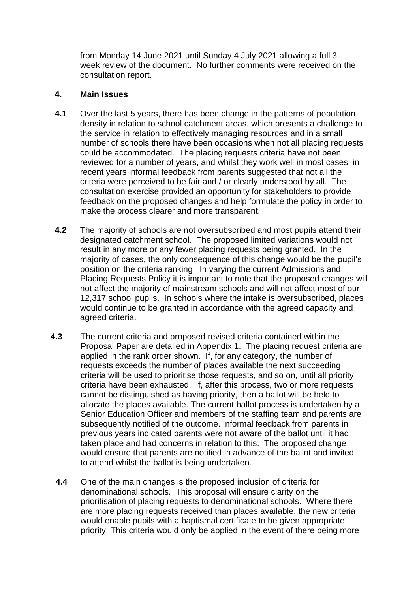from Monday 14 June 2021 until Sunday 4 July 2021 allowing a full 3 week review of the document. No further comments were received on the consultation report.

#### **4. Main Issues**

- **4.1** Over the last 5 years, there has been change in the patterns of population density in relation to school catchment areas, which presents a challenge to the service in relation to effectively managing resources and in a small number of schools there have been occasions when not all placing requests could be accommodated. The placing requests criteria have not been reviewed for a number of years, and whilst they work well in most cases, in recent years informal feedback from parents suggested that not all the criteria were perceived to be fair and / or clearly understood by all. The consultation exercise provided an opportunity for stakeholders to provide feedback on the proposed changes and help formulate the policy in order to make the process clearer and more transparent.
- **4.2** The majority of schools are not oversubscribed and most pupils attend their designated catchment school. The proposed limited variations would not result in any more or any fewer placing requests being granted. In the majority of cases, the only consequence of this change would be the pupil's position on the criteria ranking. In varying the current Admissions and Placing Requests Policy it is important to note that the proposed changes will not affect the majority of mainstream schools and will not affect most of our 12,317 school pupils. In schools where the intake is oversubscribed, places would continue to be granted in accordance with the agreed capacity and agreed criteria.
- **4.3** The current criteria and proposed revised criteria contained within the Proposal Paper are detailed in Appendix 1. The placing request criteria are applied in the rank order shown. If, for any category, the number of requests exceeds the number of places available the next succeeding criteria will be used to prioritise those requests, and so on, until all priority criteria have been exhausted. If, after this process, two or more requests cannot be distinguished as having priority, then a ballot will be held to allocate the places available. The current ballot process is undertaken by a Senior Education Officer and members of the staffing team and parents are subsequently notified of the outcome. Informal feedback from parents in previous years indicated parents were not aware of the ballot until it had taken place and had concerns in relation to this. The proposed change would ensure that parents are notified in advance of the ballot and invited to attend whilst the ballot is being undertaken.
	- **4.4** One of the main changes is the proposed inclusion of criteria for denominational schools. This proposal will ensure clarity on the prioritisation of placing requests to denominational schools. Where there are more placing requests received than places available, the new criteria would enable pupils with a baptismal certificate to be given appropriate priority. This criteria would only be applied in the event of there being more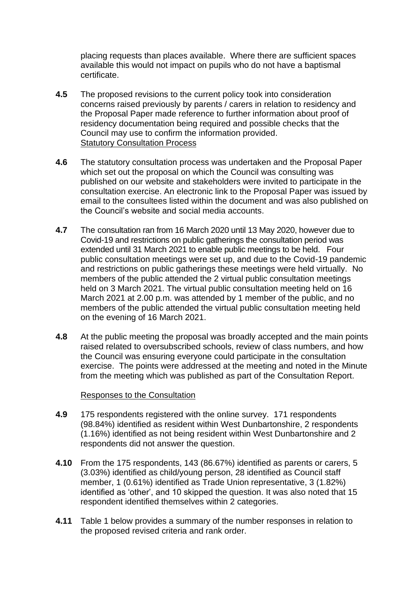placing requests than places available. Where there are sufficient spaces available this would not impact on pupils who do not have a baptismal certificate.

- **4.5** The proposed revisions to the current policy took into consideration concerns raised previously by parents / carers in relation to residency and the Proposal Paper made reference to further information about proof of residency documentation being required and possible checks that the Council may use to confirm the information provided. Statutory Consultation Process
- **4.6** The statutory consultation process was undertaken and the Proposal Paper which set out the proposal on which the Council was consulting was published on our website and stakeholders were invited to participate in the consultation exercise. An electronic link to the Proposal Paper was issued by email to the consultees listed within the document and was also published on the Council's website and social media accounts.
- **4.7** The consultation ran from 16 March 2020 until 13 May 2020, however due to Covid-19 and restrictions on public gatherings the consultation period was extended until 31 March 2021 to enable public meetings to be held. Four public consultation meetings were set up, and due to the Covid-19 pandemic and restrictions on public gatherings these meetings were held virtually. No members of the public attended the 2 virtual public consultation meetings held on 3 March 2021. The virtual public consultation meeting held on 16 March 2021 at 2.00 p.m. was attended by 1 member of the public, and no members of the public attended the virtual public consultation meeting held on the evening of 16 March 2021.
- **4.8** At the public meeting the proposal was broadly accepted and the main points raised related to oversubscribed schools, review of class numbers, and how the Council was ensuring everyone could participate in the consultation exercise. The points were addressed at the meeting and noted in the Minute from the meeting which was published as part of the Consultation Report.

#### Responses to the Consultation

- **4.9** 175 respondents registered with the online survey. 171 respondents (98.84%) identified as resident within West Dunbartonshire, 2 respondents (1.16%) identified as not being resident within West Dunbartonshire and 2 respondents did not answer the question.
- **4.10** From the 175 respondents, 143 (86.67%) identified as parents or carers, 5 (3.03%) identified as child/young person, 28 identified as Council staff member, 1 (0.61%) identified as Trade Union representative, 3 (1.82%) identified as 'other', and 10 skipped the question. It was also noted that 15 respondent identified themselves within 2 categories.
- **4.11** Table 1 below provides a summary of the number responses in relation to the proposed revised criteria and rank order.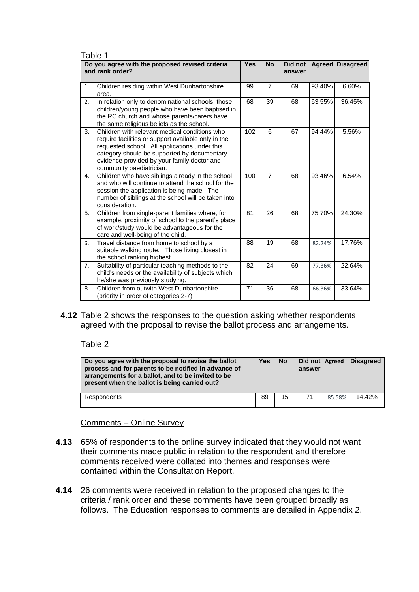| Table 1                                                            |                                                                                                                                                                                                                                                                                 |            |                |                   |               |                  |
|--------------------------------------------------------------------|---------------------------------------------------------------------------------------------------------------------------------------------------------------------------------------------------------------------------------------------------------------------------------|------------|----------------|-------------------|---------------|------------------|
| Do you agree with the proposed revised criteria<br>and rank order? |                                                                                                                                                                                                                                                                                 | <b>Yes</b> | <b>No</b>      | Did not<br>answer | <b>Agreed</b> | <b>Disagreed</b> |
| 1.                                                                 | Children residing within West Dunbartonshire<br>area.                                                                                                                                                                                                                           | 99         | $\overline{7}$ | 69                | 93.40%        | 6.60%            |
| 2.                                                                 | In relation only to denominational schools, those<br>children/young people who have been baptised in<br>the RC church and whose parents/carers have<br>the same religious beliefs as the school.                                                                                | 68         | 39             | 68                | 63.55%        | 36.45%           |
| 3.                                                                 | Children with relevant medical conditions who<br>require facilities or support available only in the<br>requested school. All applications under this<br>category should be supported by documentary<br>evidence provided by your family doctor and<br>community paediatrician. | 102        | 6              | 67                | 94.44%        | 5.56%            |
| 4.                                                                 | Children who have siblings already in the school<br>and who will continue to attend the school for the<br>session the application is being made. The<br>number of siblings at the school will be taken into<br>consideration.                                                   | 100        | $\overline{7}$ | 68                | 93.46%        | 6.54%            |
| 5.                                                                 | Children from single-parent families where, for<br>example, proximity of school to the parent's place<br>of work/study would be advantageous for the<br>care and well-being of the child.                                                                                       | 81         | 26             | 68                | 75.70%        | 24.30%           |
| 6.                                                                 | Travel distance from home to school by a<br>suitable walking route. Those living closest in<br>the school ranking highest.                                                                                                                                                      | 88         | 19             | 68                | 82.24%        | 17.76%           |
| 7.                                                                 | Suitability of particular teaching methods to the<br>child's needs or the availability of subjects which<br>he/she was previously studying.                                                                                                                                     | 82         | 24             | 69                | 77.36%        | 22.64%           |
| 8.                                                                 | Children from outwith West Dunbartonshire<br>(priority in order of categories 2-7)                                                                                                                                                                                              | 71         | 36             | 68                | 66.36%        | 33.64%           |

**4.12** Table 2 shows the responses to the question asking whether respondents agreed with the proposal to revise the ballot process and arrangements.

Table 2

| Do you agree with the proposal to revise the ballot<br>process and for parents to be notified in advance of<br>arrangements for a ballot, and to be invited to be<br>present when the ballot is being carried out? | Yes | <b>No</b> | Did not Agreed<br>answer |        | <b>Disagreed</b> |
|--------------------------------------------------------------------------------------------------------------------------------------------------------------------------------------------------------------------|-----|-----------|--------------------------|--------|------------------|
| Respondents                                                                                                                                                                                                        | 89  | 15        | 71                       | 85.58% | 14.42%           |

### Comments – Online Survey

- **4.13** 65% of respondents to the online survey indicated that they would not want their comments made public in relation to the respondent and therefore comments received were collated into themes and responses were contained within the Consultation Report.
- **4.14** 26 comments were received in relation to the proposed changes to the criteria / rank order and these comments have been grouped broadly as follows. The Education responses to comments are detailed in Appendix 2.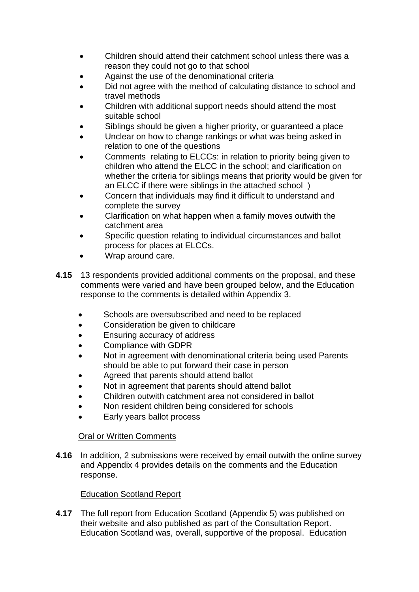- Children should attend their catchment school unless there was a reason they could not go to that school
- Against the use of the denominational criteria
- Did not agree with the method of calculating distance to school and travel methods
- Children with additional support needs should attend the most suitable school
- Siblings should be given a higher priority, or guaranteed a place
- Unclear on how to change rankings or what was being asked in relation to one of the questions
- Comments relating to ELCCs: in relation to priority being given to children who attend the ELCC in the school; and clarification on whether the criteria for siblings means that priority would be given for an ELCC if there were siblings in the attached school )
- Concern that individuals may find it difficult to understand and complete the survey
- Clarification on what happen when a family moves outwith the catchment area
- Specific question relating to individual circumstances and ballot process for places at ELCCs.
- Wrap around care.
- **4.15** 13 respondents provided additional comments on the proposal, and these comments were varied and have been grouped below, and the Education response to the comments is detailed within Appendix 3.
	- Schools are oversubscribed and need to be replaced
	- Consideration be given to childcare
	- Ensuring accuracy of address
	- Compliance with GDPR
	- Not in agreement with denominational criteria being used Parents should be able to put forward their case in person
	- Agreed that parents should attend ballot
	- Not in agreement that parents should attend ballot
	- Children outwith catchment area not considered in ballot
	- Non resident children being considered for schools
	- Early years ballot process

# Oral or Written Comments

**4.16** In addition, 2 submissions were received by email outwith the online survey and Appendix 4 provides details on the comments and the Education response.

# Education Scotland Report

**4.17** The full report from Education Scotland (Appendix 5) was published on their website and also published as part of the Consultation Report. Education Scotland was, overall, supportive of the proposal. Education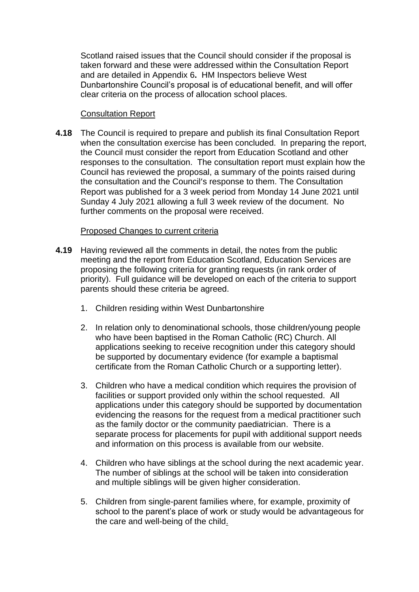Scotland raised issues that the Council should consider if the proposal is taken forward and these were addressed within the Consultation Report and are detailed in Appendix 6**.** HM Inspectors believe West Dunbartonshire Council's proposal is of educational benefit, and will offer clear criteria on the process of allocation school places.

### Consultation Report

**4.18** The Council is required to prepare and publish its final Consultation Report when the consultation exercise has been concluded. In preparing the report, the Council must consider the report from Education Scotland and other responses to the consultation. The consultation report must explain how the Council has reviewed the proposal, a summary of the points raised during the consultation and the Council's response to them. The Consultation Report was published for a 3 week period from Monday 14 June 2021 until Sunday 4 July 2021 allowing a full 3 week review of the document. No further comments on the proposal were received.

## Proposed Changes to current criteria

- **4.19** Having reviewed all the comments in detail, the notes from the public meeting and the report from Education Scotland, Education Services are proposing the following criteria for granting requests (in rank order of priority). Full guidance will be developed on each of the criteria to support parents should these criteria be agreed.
	- 1. Children residing within West Dunbartonshire
	- 2. In relation only to denominational schools, those children/young people who have been baptised in the Roman Catholic (RC) Church. All applications seeking to receive recognition under this category should be supported by documentary evidence (for example a baptismal certificate from the Roman Catholic Church or a supporting letter).
	- 3. Children who have a medical condition which requires the provision of facilities or support provided only within the school requested. All applications under this category should be supported by documentation evidencing the reasons for the request from a medical practitioner such as the family doctor or the community paediatrician. There is a separate process for placements for pupil with additional support needs and information on this process is available from our website.
	- 4. Children who have siblings at the school during the next academic year. The number of siblings at the school will be taken into consideration and multiple siblings will be given higher consideration.
	- 5. Children from single-parent families where, for example, proximity of school to the parent's place of work or study would be advantageous for the care and well-being of the child.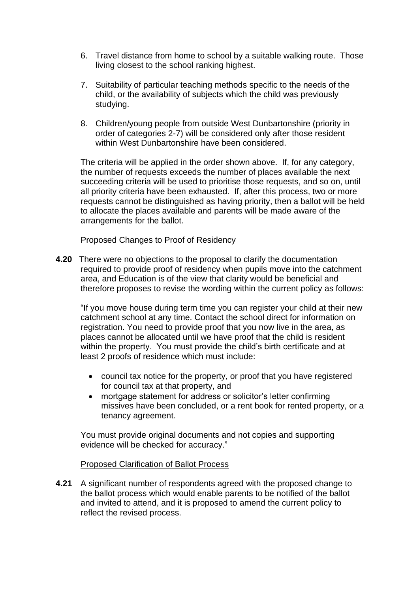- 6. Travel distance from home to school by a suitable walking route. Those living closest to the school ranking highest.
- 7. Suitability of particular teaching methods specific to the needs of the child, or the availability of subjects which the child was previously studying.
- 8. Children/young people from outside West Dunbartonshire (priority in order of categories 2-7) will be considered only after those resident within West Dunbartonshire have been considered.

The criteria will be applied in the order shown above. If, for any category, the number of requests exceeds the number of places available the next succeeding criteria will be used to prioritise those requests, and so on, until all priority criteria have been exhausted. If, after this process, two or more requests cannot be distinguished as having priority, then a ballot will be held to allocate the places available and parents will be made aware of the arrangements for the ballot.

#### Proposed Changes to Proof of Residency

**4.20** There were no objections to the proposal to clarify the documentation required to provide proof of residency when pupils move into the catchment area, and Education is of the view that clarity would be beneficial and therefore proposes to revise the wording within the current policy as follows:

"If you move house during term time you can register your child at their new catchment school at any time. Contact the school direct for information on registration. You need to provide proof that you now live in the area, as places cannot be allocated until we have proof that the child is resident within the property. You must provide the child's birth certificate and at least 2 proofs of residence which must include:

- council tax notice for the property, or proof that you have registered for council tax at that property, and
- mortgage statement for address or solicitor's letter confirming missives have been concluded, or a rent book for rented property, or a tenancy agreement.

You must provide original documents and not copies and supporting evidence will be checked for accuracy."

#### Proposed Clarification of Ballot Process

**4.21** A significant number of respondents agreed with the proposed change to the ballot process which would enable parents to be notified of the ballot and invited to attend, and it is proposed to amend the current policy to reflect the revised process.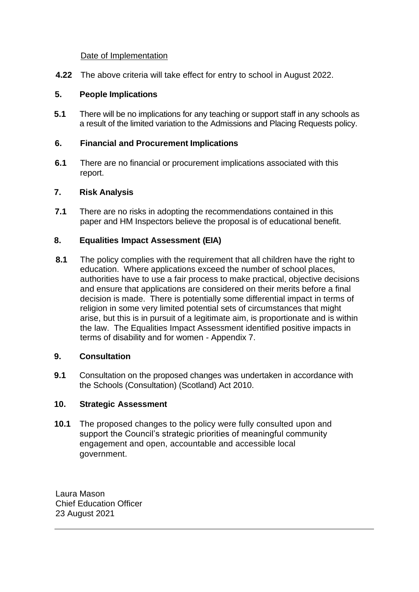### Date of Implementation

**4.22** The above criteria will take effect for entry to school in August 2022.

## **5. People Implications**

**5.1** There will be no implications for any teaching or support staff in any schools as a result of the limited variation to the Admissions and Placing Requests policy.

## **6. Financial and Procurement Implications**

**6.1** There are no financial or procurement implications associated with this report.

### **7. Risk Analysis**

**7.1** There are no risks in adopting the recommendations contained in this paper and HM Inspectors believe the proposal is of educational benefit.

## **8. Equalities Impact Assessment (EIA)**

**8.1** The policy complies with the requirement that all children have the right to education. Where applications exceed the number of school places, authorities have to use a fair process to make practical, objective decisions and ensure that applications are considered on their merits before a final decision is made. There is potentially some differential impact in terms of religion in some very limited potential sets of circumstances that might arise, but this is in pursuit of a legitimate aim, is proportionate and is within the law. The Equalities Impact Assessment identified positive impacts in terms of disability and for women - Appendix 7.

### **9. Consultation**

**9.1** Consultation on the proposed changes was undertaken in accordance with the Schools (Consultation) (Scotland) Act 2010.

### **10. Strategic Assessment**

**10.1** The proposed changes to the policy were fully consulted upon and support the Council's strategic priorities of meaningful community engagement and open, accountable and accessible local government.

Laura Mason Chief Education Officer 23 August 2021